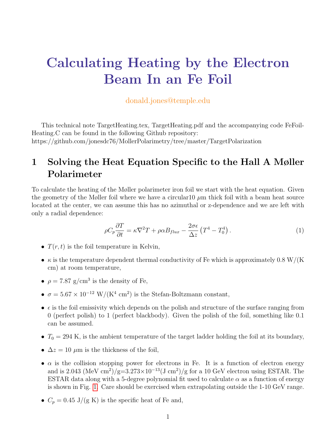# Calculating Heating by the Electron Beam In an Fe Foil

#### donald.jones@temple.edu

This technical note TargetHeating.tex, TargetHeating.pdf and the accompanying code FeFoil-Heating.C can be found in the following Github repository: https://github.com/jonesdc76/MollerPolarimetry/tree/master/TargetPolarization

## 1 Solving the Heat Equation Specific to the Hall A Møller Polarimeter

To calculate the heating of the Møller polarimeter iron foil we start with the heat equation. Given the geometry of the Møller foil where we have a circular  $10 \mu m$  thick foil with a beam heat source located at the center, we can assume this has no azimuthal or z-dependence and we are left with only a radial dependence:

<span id="page-0-0"></span>
$$
\rho C_p \frac{\partial T}{\partial t} = \kappa \nabla^2 T + \rho \alpha B_{flux} - \frac{2\sigma \epsilon}{\Delta z} \left( T^4 - T_0^4 \right). \tag{1}
$$

- $T(r, t)$  is the foil temperature in Kelvin,
- $\kappa$  is the temperature dependent thermal conductivity of Fe which is approximately 0.8 W/(K) cm) at room temperature,
- $\rho = 7.87$  g/cm<sup>3</sup> is the density of Fe,
- $\sigma = 5.67 \times 10^{-12} \text{ W}/(\text{K}^4 \text{ cm}^2)$  is the Stefan-Boltzmann constant,
- $\bullet$   $\epsilon$  is the foil emissivity which depends on the polish and structure of the surface ranging from 0 (perfect polish) to 1 (perfect blackbody). Given the polish of the foil, something like 0.1 can be assumed.
- $T_0 = 294$  K, is the ambient temperature of the target ladder holding the foil at its boundary,
- $\Delta z = 10 \ \mu \text{m}$  is the thickness of the foil,
- $\alpha$  is the collision stopping power for electrons in Fe. It is a function of electron energy and is 2.043 (MeV cm<sup>2</sup>)/g=3.273×10<sup>-13</sup>(J cm<sup>2</sup>)/g for a 10 GeV electron using ESTAR. The ESTAR data along with a 5-degree polynomial fit used to calculate  $\alpha$  as a function of energy is shown in Fig. [1.](#page-1-0) Care should be exercised when extrapolating outside the 1-10 GeV range.
- $C_p = 0.45 \text{ J/(g K)}$  is the specific heat of Fe and,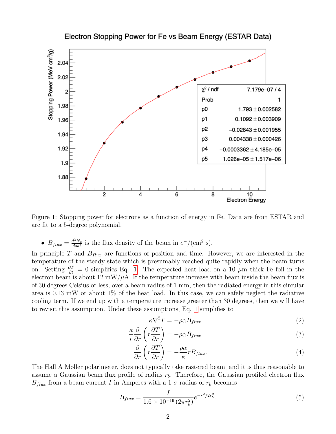<span id="page-1-0"></span>

Electron Stopping Power for Fe vs Beam Energy (ESTAR Data)

Figure 1: Stopping power for electrons as a function of energy in Fe. Data are from ESTAR and are fit to a 5-degree polynomial.

•  $B_{flux} = \frac{d^3 N_e}{dsdt}$  is the flux density of the beam in  $e^-/(\text{cm}^2 \text{ s})$ .

In principle T and  $B_{flux}$  are functions of position and time. However, we are interested in the temperature of the steady state which is presumably reached quite rapidly when the beam turns on. Setting  $\frac{\partial T}{\partial t} = 0$  simplifies Eq. [1.](#page-0-0) The expected heat load on a 10  $\mu$ m thick Fe foil in the electron beam is about  $12 \text{ mW}/\mu\text{A}$ . If the temperature increase with beam inside the beam flux is of 30 degrees Celsius or less, over a beam radius of 1 mm, then the radiated energy in this circular area is  $0.13$  mW or about  $1\%$  of the heat load. In this case, we can safely neglect the radiative cooling term. If we end up with a temperature increase greater than 30 degrees, then we will have to revisit this assumption. Under these assumptions, Eq. [1](#page-0-0) simplifies to

<span id="page-1-1"></span>
$$
\kappa \nabla^2 T = -\rho \alpha B_{flux} \tag{2}
$$

$$
\frac{\kappa}{r}\frac{\partial}{\partial r}\left(r\frac{\partial T}{\partial r}\right) = -\rho \alpha B_{flux} \tag{3}
$$

$$
\frac{\partial}{\partial r}\left(r\frac{\partial T}{\partial r}\right) = -\frac{\rho \alpha}{\kappa} r B_{flux}.\tag{4}
$$

The Hall A Møller polarimeter, does not typically take rastered beam, and it is thus reasonable to assume a Gaussian beam flux profile of radius  $r<sub>b</sub>$ . Therefore, the Gaussian profiled electron flux  $B_{flux}$  from a beam current I in Amperes with a 1  $\sigma$  radius of  $r_b$  becomes

$$
B_{flux} = \frac{I}{1.6 \times 10^{-19} \left(2\pi r_b^2\right)} e^{-r^2/2r_b^2}.\tag{5}
$$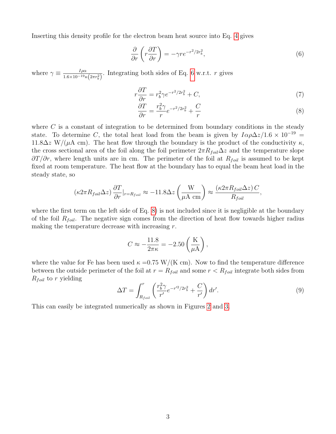Inserting this density profile for the electron beam heat source into Eq. [4](#page-1-1) gives

<span id="page-2-0"></span>
$$
\frac{\partial}{\partial r}\left(r\frac{\partial T}{\partial r}\right) = -\gamma r e^{-r^2/2r_b^2},\tag{6}
$$

where  $\gamma \equiv \frac{I \rho \alpha}{1.6 \times 10^{-19}}$  $\frac{I\rho\alpha}{1.6\times10^{-19}\kappa(2\pi r_b^2)}$ . Integrating both sides of Eq. [6](#page-2-0) w.r.t. r gives

$$
r\frac{\partial T}{\partial r} = r_b^2 \gamma e^{-r^2/2r_b^2} + C,\tag{7}
$$

<span id="page-2-1"></span>
$$
\frac{\partial T}{\partial r} = \frac{r_b^2 \gamma}{r} e^{-r^2/2r_b^2} + \frac{C}{r}
$$
\n(8)

where  $C$  is a constant of integration to be determined from boundary conditions in the steady state. To determine C, the total heat load from the beam is given by  $I\alpha\rho\Delta z/1.6\times 10^{-19}$  = 11.8 $\Delta z$  W/( $\mu$ A cm). The heat flow through the boundary is the product of the conductivity  $\kappa$ , the cross sectional area of the foil along the foil perimeter  $2\pi R_{foil} \Delta z$  and the temperature slope  $\partial T/\partial r$ , where length units are in cm. The perimeter of the foil at  $R_{foil}$  is assumed to be kept fixed at room temperature. The heat flow at the boundary has to equal the beam heat load in the steady state, so

$$
(\kappa 2\pi R_{foil} \Delta z) \frac{\partial T}{\partial r}|_{r=R_{foil}} \approx -11.8 \Delta z \left(\frac{W}{\mu A \text{ cm}}\right) \approx \frac{(\kappa 2\pi R_{foil} \Delta z) C}{R_{foil}},
$$

where the first term on the left side of Eq. [8\)](#page-2-1) is not included since it is negligible at the boundary of the foil  $R_{foil}$ . The negative sign comes from the direction of heat flow towards higher radius making the temperature decrease with increasing  $r$ .

$$
C \approx -\frac{11.8}{2\pi\kappa} = -2.50\left(\frac{\mathrm{K}}{\mu\mathrm{A}}\right),\,
$$

where the value for Fe has been used  $\kappa = 0.75 \text{ W/(K cm)}$ . Now to find the temperature difference between the outside perimeter of the foil at  $r = R_{foil}$  and some  $r < R_{foil}$  integrate both sides from  $R_{foil}$  to r yielding

<span id="page-2-2"></span>
$$
\Delta T = \int_{R_{foil}}^r \left( \frac{r_b^2 \gamma}{r'} e^{-r'^2/2r_b^2} + \frac{C}{r'} \right) dr'.
$$
\n(9)

This can easily be integrated numerically as shown in Figures [2](#page-3-0) and [3.](#page-4-0)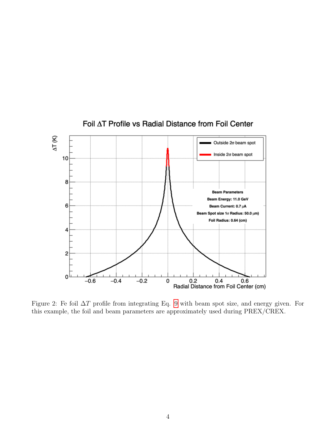<span id="page-3-0"></span>

#### Foil AT Profile vs Radial Distance from Foil Center

Figure 2: Fe foil ∆T profile from integrating Eq. [9](#page-2-2) with beam spot size, and energy given. For this example, the foil and beam parameters are approximately used during PREX/CREX.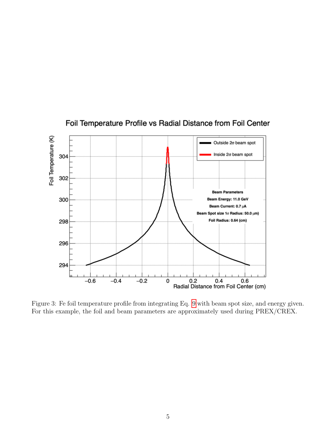<span id="page-4-0"></span>

### Foil Temperature Profile vs Radial Distance from Foil Center

Figure 3: Fe foil temperature profile from integrating Eq. [9](#page-2-2) with beam spot size, and energy given. For this example, the foil and beam parameters are approximately used during PREX/CREX.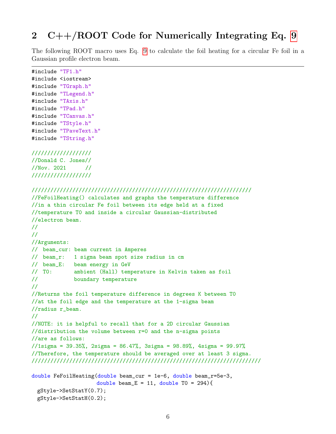#### 2 C++/ROOT Code for Numerically Integrating Eq. [9](#page-2-2)

The following ROOT macro uses Eq. [9](#page-2-2) to calculate the foil heating for a circular Fe foil in a Gaussian profile electron beam.

```
#include "TF1.h"
```

```
#include <iostream>
#include "TGraph.h"
#include "TLegend.h"
#include "TAxis.h"
#include "TPad.h"
#include "TCanvas.h"
#include "TStyle.h"
#include "TPaveText.h"
#include "TString.h"
```
#### ///////////////////

//Donald C. Jones//  $//Now. 2021$  // ///////////////////

```
//////////////////////////////////////////////////////////////////////
//FeFoilHeating() calculates and graphs the temperature difference
//in a thin circular Fe foil between its edge held at a fixed
//temperature T0 and inside a circular Gaussian-distributed
//electron beam.
//
//
//Arguments:
// beam_cur: beam current in Amperes
// beam_r: 1 sigma beam spot size radius in cm
// beam_E: beam energy in GeV
// T0: ambient (Hall) temperature in Kelvin taken as foil
// boundary temperature
//
//Returns the foil temperature difference in degrees K between T0
//at the foil edge and the temperature at the 1-sigma beam
//radius r_beam.
//
//NOTE: it is helpful to recall that for a 2D circular Gaussian
//distribution the volume between r=0 and the n-sigma points
//are as follows:
//1sigma = 39.35%, 2sigma = 86.47%, 3sigma = 98.89%, 4sigma = 99.97%
//Therefore, the temperature should be averaged over at least 3 sigma.
/////////////////////////////////////////////////////////////////////////
double FeFoilHeating(double beam_cur = 1e-6, double beam_r=5e-3,
                    double beam_E = 11, double TO = 294 {
 gStyle->SetStatY(0.7);
```

```
gStyle->SetStatH(0.2);
```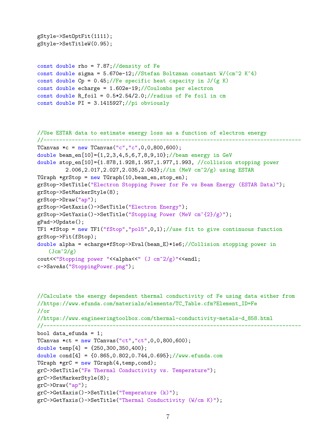```
gStyle->SetOptFit(1111);
gStyle->SetTitleW(0.95);
```

```
const double rho = 7.87;//density of Fe
const double sigma = 5.670e-12;//Stefan Boltzman constant W/(cm<sup>o</sup>2 K<sup>o</sup>4)
const double Cp = 0.45;//Fe specific heat capacity in J/(g K)
const double echarge = 1.602e-19;//Coulombs per electron
const double R_foil = 0.5*2.54/2.0;//radius of Fe foil in cm
const double PI = 3.1415927;//pi obviously
```

```
//Use ESTAR data to estimate energy loss as a function of electron energy
//----------------------------------------------------------------------------------
TCanvas *c = new TCanvas("c", "c", 0,0,800,600);double beam_en[10]={1,2,3,4,5,6,7,8,9,10};//beam energy in GeV
double stop_en[10]={1.878,1.928,1.957,1.977,1.993, //collision stopping power
         2.006,2.017,2.027,2.035,2.043};//in (MeV cm^2/g) using ESTAR
TGraph *grStop = new TGraph(10,beam_en, stop_en);grStop->SetTitle("Electron Stopping Power for Fe vs Beam Energy (ESTAR Data)");
grStop->SetMarkerStyle(8);
grStop->Draw("ap");
grStop->GetXaxis()->SetTitle("Electron Energy");
grStop->GetYaxis()->SetTitle("Stopping Power (MeV cm^{2}/g)");
gPad->Update();
TF1 *fStop = new TF1("fStop", "pol5", 0, 1); // use fit to give continuous functiongrStop->Fit(fStop);
double alpha = echarge*fStop->Eval(beam_E)*1e6;//Collision stopping power in
   (Jcm^2/g)cout<<"Stopping power "<<alpha<<" (J cm^2/g)"<<endl;
c->SaveAs("StoppingPower.png");
```

```
//Calculate the energy dependent thermal conductivity of Fe using data either from
//https://www.efunda.com/materials/elements/TC_Table.cfm?Element_ID=Fe
//or
//https://www.engineeringtoolbox.com/thermal-conductivity-metals-d_858.html
//----------------------------------------------------------------------------------
bool data_efunda = 1;
TCanvas *ct = new TCanvas("ct", "ct", 0, 0, 800, 600);double temp[4] = \{250, 300, 350, 400\};double cond[4] = {0.865,0.802,0.744,0.695};//www.efunda.com
TGraph *grC = new TGraph(4, temp, cond);grC->SetTitle("Fe Thermal Conductivity vs. Temperature");
grC->SetMarkerStyle(8);
grC->Draw("ap");
grC->GetXaxis()->SetTitle("Temperature (k)");
grC->GetYaxis()->SetTitle("Thermal Conductivity (W/cm K)");
```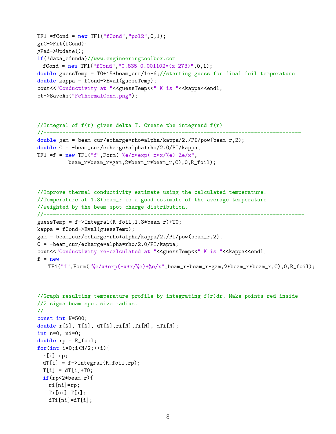```
TF1 *fCond = new TF1("fCond", "pol2", 0, 1);grC->Fit(fCond);
gPad->Update();
if(!data_efunda)//www.engineeringtoolbox.com
 fCond = new TF1("fCond","0.835-0.001102*(x-273)",0,1);
double guessTemp = T0+15*beam_cur/1e-6;//starting guess for final foil temperature
double kappa = fCond->Eval(guessTemp);
cout<<"Conductivity at "<<guessTemp<<" K is "<<kappa<<endl;
ct->SaveAs("FeThermalCond.png");
```

```
//Integral of f(r) gives delta T. Create the integrand f(r)//----------------------------------------------------------------------------------
double gam = beam_cur/echarge*rho*alpha/kappa/2./PI/pow(beam_r,2);
double C = -beam_cur/echarge*alpha*rho/2.0/PI/kappa;
TF1 *f = new TF1("f", Form("%e/x*exp(-x*x)/%e) +%e/x",beam_r*beam_r*gam,2*beam_r*beam_r,C),0,R_foil);
```

```
//Improve thermal conductivity estimate using the calculated temperature.
//Temperature at 1.3*beam_r is a good estimate of the average temperature
//weighted by the beam spot charge distribution.
//-----------------------------------------------------------------------------------
guessTemp = f->Integral(R_foil,1.3*beam_r)+T0;
kappa = fCond->Eval(guessTemp);
gam = beam_cur/echarge*rho*alpha/kappa/2./PI/pow(beam_r,2);
C = -beam_cur/echarge*alpha*rho/2.0/PI/kappa;
cout<<"Conductivity re-calculated at "<<guessTemp<<" K is "<<kappa<<endl;
f = newTF1("f", Form("%e/x*exp(-x*x%e)+%e/x", beam_r*beam_r*gam,2*beam_r*beam_r,C), 0, R_foil);
```

```
//Graph resulting temperature profile by integrating f(r)dr. Make points red inside
//2 sigma beam spot size radius.
//-----------------------------------------------------------------------------------
const int N=500;
double r[N], T[N], dT[N], ri[N], Ti[N], dTi[N];
int n=0, ni=0;
double rp = R_foil;
for(int i=0;i<N/2;++i){
  r[i]=rp;dT[i] = f-\frac{1}{\text{Integral}(R_foi1, rp)};T[i] = dT[i]+T0;if(rp<2*beam_r){
    ri[ni]=rp;
    Ti[ni]=T[i];dTi[ni]=dT[i];
```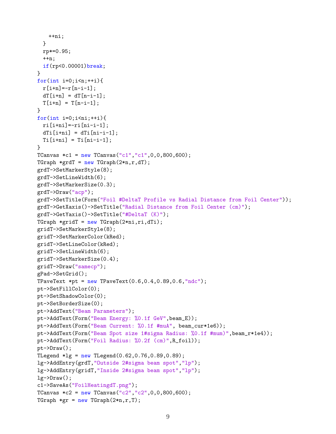```
++ni;
 }
 rp*=0.95;
 ++n;if(rp<0.00001)break;
}
for(int i=0; i \le n; ++i){
 r[i+n] = -r[n-i-1];dT[i+n] = dT[n-i-1];T[i+n] = T[n-i-1];
}
for(int i=0;i\leq ni;i+i){
 ri[i+ni]=-ri[ni-i-1];dTi[i+ni] = dTi[ni-i-1];Ti[i+ni] = Ti[ni-i-1];}
TCanvas *c1 = new TCanvas("c1", "c1", 0, 0, 800, 600);TGraph *grdT = new TGraph(2*n,r,dT);
grdT->SetMarkerStyle(8);
grdT->SetLineWidth(6);
grdT->SetMarkerSize(0.3);
grdT->Draw("acp");
grdT->SetTitle(Form("Foil #DeltaT Profile vs Radial Distance from Foil Center"));
grdT->GetXaxis()->SetTitle("Radial Distance from Foil Center (cm)");
grdT->GetYaxis()->SetTitle("#DeltaT (K)");
TGraph *gridT = new TGraph(2 * ni,ri,dTi);
gridT->SetMarkerStyle(8);
gridT->SetMarkerColor(kRed);
gridT->SetLineColor(kRed);
gridT->SetLineWidth(6);
gridT->SetMarkerSize(0.4);
gridT->Draw("samecp");
gPad->SetGrid();
TPaveText *pt = new TPaveText(0.6, 0.4, 0.89, 0.6, "ndc");
pt->SetFillColor(0);
pt->SetShadowColor(0);
pt->SetBorderSize(0);
pt->AddText("Beam Parameters");
pt->AddText(Form("Beam Energy: %0.1f GeV",beam_E));
pt->AddText(Form("Beam Current: %0.1f #muA", beam_cur*1e6));
pt->AddText(Form("Beam Spot size 1#sigma Radius: %0.1f #mum)",beam_r*1e4));
pt->AddText(Form("Foil Radius: %0.2f (cm)",R_foil));
pt->Draw();
TLegend *lg = new Thegend(0.62, 0.76, 0.89, 0.89);lg->AddEntry(grdT,"Outside 2#sigma beam spot","lp");
lg->AddEntry(gridT,"Inside 2#sigma beam spot","lp");
lg->Draw();
c1->SaveAs("FoilHeatingdT.png");
TCanvas *c2 = new TCanvas("c2", "c2", 0, 0, 800, 600);TGraph *gr = new TGraph(2*n, r, T);
```